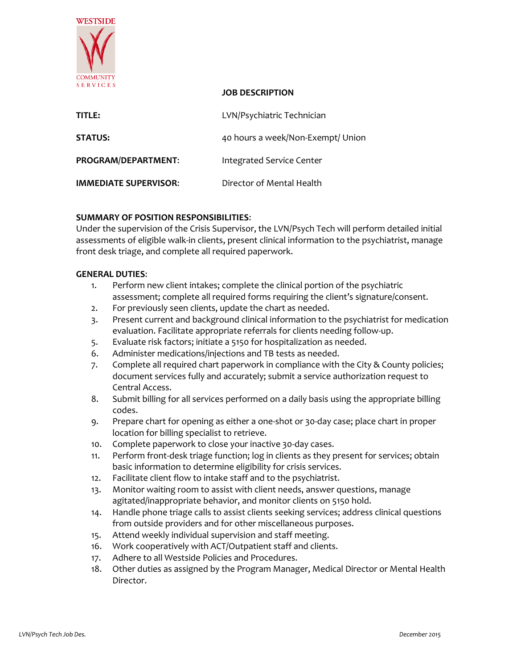

# **JOB DESCRIPTION**

| TITLE:                       | LVN/Psychiatric Technician        |
|------------------------------|-----------------------------------|
| <b>STATUS:</b>               | 40 hours a week/Non-Exempt/ Union |
| <b>PROGRAM/DEPARTMENT:</b>   | Integrated Service Center         |
| <b>IMMEDIATE SUPERVISOR:</b> | Director of Mental Health         |

# **SUMMARY OF POSITION RESPONSIBILITIES**:

Under the supervision of the Crisis Supervisor, the LVN/Psych Tech will perform detailed initial assessments of eligible walk-in clients, present clinical information to the psychiatrist, manage front desk triage, and complete all required paperwork.

### **GENERAL DUTIES**:

- 1. Perform new client intakes; complete the clinical portion of the psychiatric assessment; complete all required forms requiring the client's signature/consent.
- 2. For previously seen clients, update the chart as needed.
- 3. Present current and background clinical information to the psychiatrist for medication evaluation. Facilitate appropriate referrals for clients needing follow-up.
- 5. Evaluate risk factors; initiate a 5150 for hospitalization as needed.
- 6. Administer medications/injections and TB tests as needed.
- 7. Complete all required chart paperwork in compliance with the City & County policies; document services fully and accurately; submit a service authorization request to Central Access.
- 8. Submit billing for all services performed on a daily basis using the appropriate billing codes.
- 9. Prepare chart for opening as either a one-shot or 30-day case; place chart in proper location for billing specialist to retrieve.
- 10. Complete paperwork to close your inactive 30-day cases.
- 11. Perform front-desk triage function; log in clients as they present for services; obtain basic information to determine eligibility for crisis services.
- 12. Facilitate client flow to intake staff and to the psychiatrist.
- 13. Monitor waiting room to assist with client needs, answer questions, manage agitated/inappropriate behavior, and monitor clients on 5150 hold.
- 14. Handle phone triage calls to assist clients seeking services; address clinical questions from outside providers and for other miscellaneous purposes.
- 15. Attend weekly individual supervision and staff meeting.
- 16. Work cooperatively with ACT/Outpatient staff and clients.
- 17. Adhere to all Westside Policies and Procedures.
- 18. Other duties as assigned by the Program Manager, Medical Director or Mental Health Director.